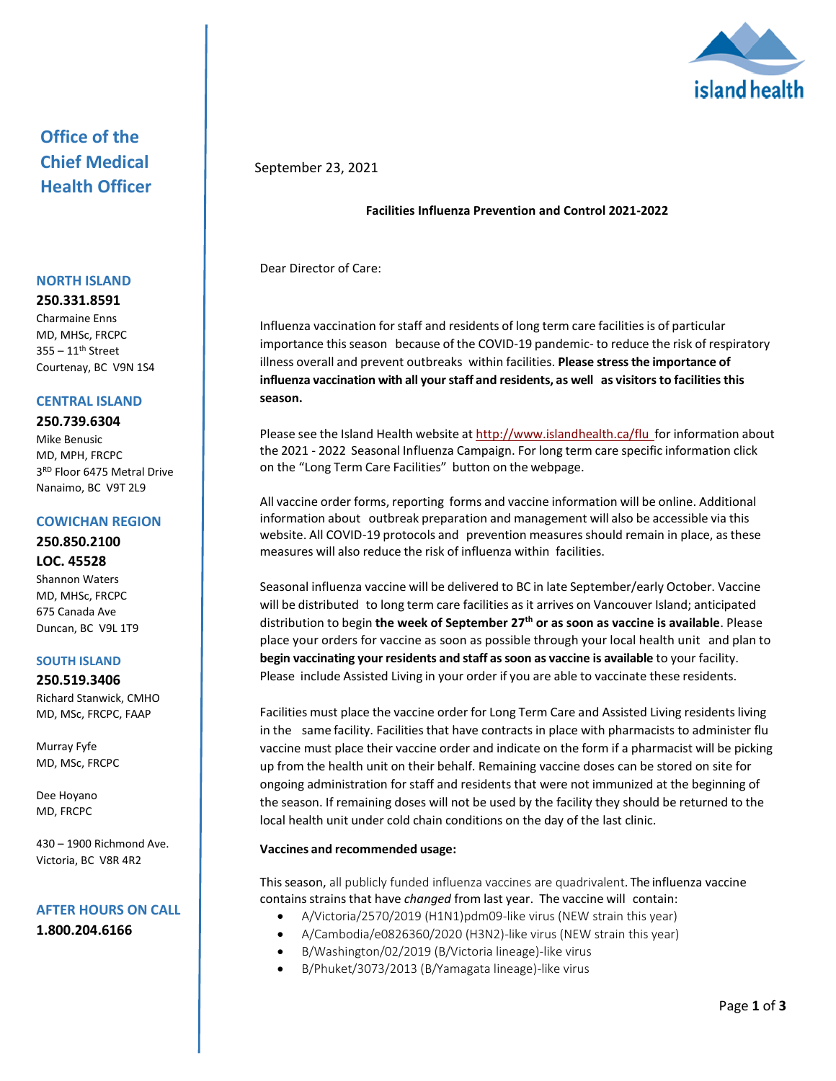

## **Office of the Chief Medical Health Officer**

#### **NORTH ISLAND**

**250.331.8591**

Charmaine Enns MD, MHSc, FRCPC  $355 - 11$ <sup>th</sup> Street Courtenay, BC V9N 1S4

## **CENTRAL ISLAND**

### **250.739.6304**

Mike Benusic MD, MPH, FRCPC 3 RD Floor 6475 Metral Drive Nanaimo, BC V9T 2L9

### **COWICHAN REGION**

**250.850.2100 LOC. 45528** Shannon Waters MD, MHSc, FRCPC 675 Canada Ave Duncan, BC V9L 1T9

### **SOUTH ISLAND**

**250.519.3406** Richard Stanwick, CMHO MD, MSc, FRCPC, FAAP

Murray Fyfe MD, MSc, FRCPC

Dee Hoyano MD, FRCPC

430 – 1900 Richmond Ave. Victoria, BC V8R 4R2

# **AFTER HOURS ON CALL**

**1.800.204.6166**

## September 23, 2021

## **Facilities Influenza Prevention and Control 2021-2022**

Dear Director of Care:

Influenza vaccination forstaff and residents of long term care facilitiesis of particular importance thisseason because of the COVID-19 pandemic- to reduce the risk of respiratory illness overall and prevent outbreaks within facilities. **Please stressthe importance of influenza vaccination with all yourstaff and residents, as well as visitorsto facilitiesthis season.**

Please see the Island Health website at [http://www.islandhealth.ca/flu](https://www.islandhealth.ca/flu) for information about the 2021 - 2022 Seasonal Influenza Campaign. For long term care specific information click on the "Long Term Care Facilities" button on the webpage.

All vaccine order forms, reporting forms and vaccine information will be online. Additional information about outbreak preparation and management will also be accessible via this website. All COVID-19 protocols and prevention measures should remain in place, asthese measures will also reduce the risk of influenza within facilities.

Seasonal influenza vaccine will be delivered to BC in late September/early October. Vaccine will be distributed to long term care facilities as it arrives on Vancouver Island; anticipated distribution to begin **the week of September 27th or as soon as vaccine is available**. Please place your orders for vaccine as soon as possible through your local health unit and plan to **begin vaccinating your residents and staff assoon as vaccine is available** to your facility. Please include Assisted Living in your order if you are able to vaccinate these residents.

Facilities must place the vaccine order for Long Term Care and Assisted Living residents living in the same facility. Facilities that have contracts in place with pharmacists to administer flu vaccine must place their vaccine order and indicate on the form if a pharmacist will be picking up from the health unit on their behalf. Remaining vaccine doses can be stored on site for ongoing administration for staff and residents that were not immunized at the beginning of the season. If remaining doses will not be used by the facility they should be returned to the local health unit under cold chain conditions on the day of the last clinic.

## **Vaccines and recommended usage:**

Thisseason, all publicly funded influenza vaccines are quadrivalent. The influenza vaccine contains strains that have *changed* from last year. The vaccine will contain:

- A/Victoria/2570/2019 (H1N1)pdm09-like virus (NEW strain this year)
- A/Cambodia/e0826360/2020 (H3N2)-like virus (NEW strain this year)
- B/Washington/02/2019 (B/Victoria lineage)-like virus
- B/Phuket/3073/2013 (B/Yamagata lineage)-like virus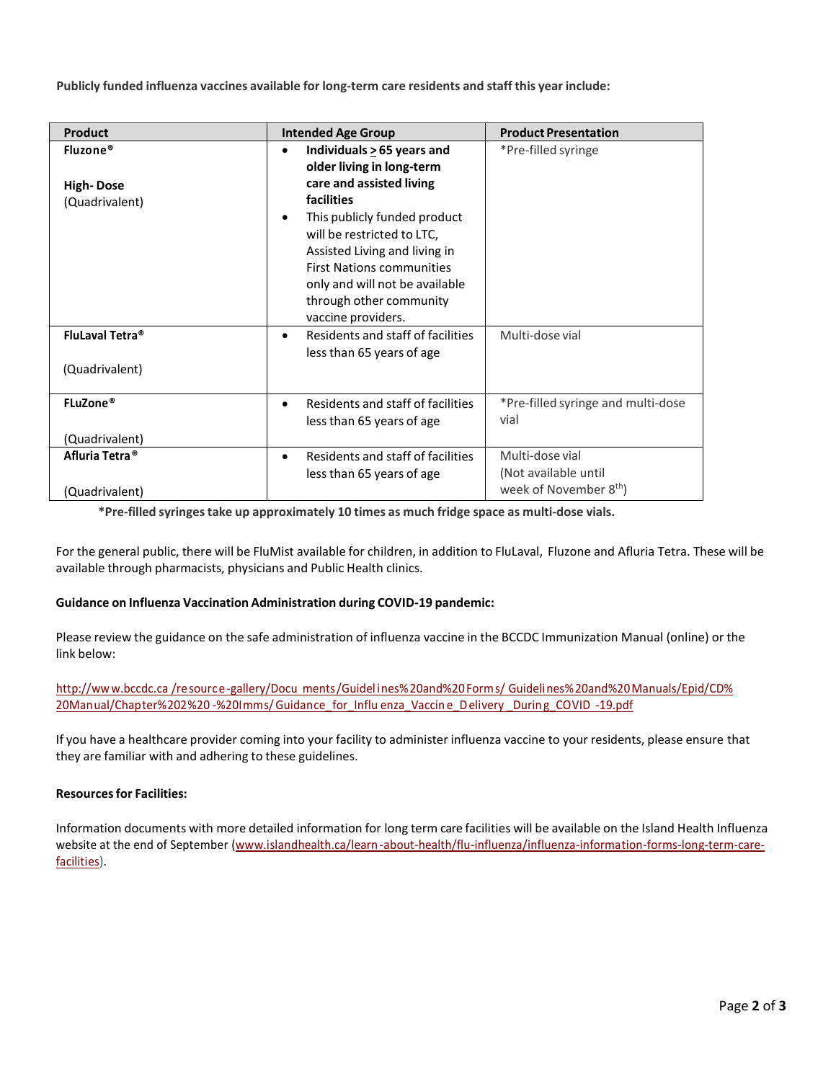**Publicly funded influenza vaccines available for long-term care residents and staff this year include:**

| Product                            | <b>Intended Age Group</b>                                                                                                                                                                                                              | <b>Product Presentation</b>                |
|------------------------------------|----------------------------------------------------------------------------------------------------------------------------------------------------------------------------------------------------------------------------------------|--------------------------------------------|
| Fluzone®                           | Individuals > 65 years and<br>older living in long-term                                                                                                                                                                                | *Pre-filled syringe                        |
| <b>High-Dose</b><br>(Quadrivalent) | care and assisted living<br>facilities<br>This publicly funded product<br>will be restricted to LTC,<br>Assisted Living and living in<br><b>First Nations communities</b><br>only and will not be available<br>through other community |                                            |
|                                    | vaccine providers.                                                                                                                                                                                                                     |                                            |
| FluLaval Tetra <sup>®</sup>        | Residents and staff of facilities<br>$\bullet$<br>less than 65 years of age                                                                                                                                                            | Multi-dose vial                            |
| (Quadrivalent)                     |                                                                                                                                                                                                                                        |                                            |
| FLuZone®<br>(Quadrivalent)         | Residents and staff of facilities<br>$\bullet$<br>less than 65 years of age                                                                                                                                                            | *Pre-filled syringe and multi-dose<br>vial |
| Afluria Tetra <sup>®</sup>         | Residents and staff of facilities<br>$\bullet$                                                                                                                                                                                         | Multi-dose vial                            |
|                                    | less than 65 years of age                                                                                                                                                                                                              | (Not available until                       |
| (Quadrivalent)                     |                                                                                                                                                                                                                                        | week of November 8 <sup>th</sup> )         |

**\*Pre-filled syringestake up approximately 10 times as much fridge space as multi-dose vials.**

For the general public, there will be FluMist available for children, in addition to FluLaval, Fluzone and Afluria Tetra. These will be available through pharmacists, physicians and Public Health clinics.

## **Guidance on Influenza Vaccination Administration during COVID-19 pandemic:**

Please review the guidance on the safe administration of influenza vaccine in the BCCDC Immunization Manual (online) or the link below:

http://www.bccdc.ca /resource-gallery/Docu ments/Guidel ines%20and%20Forms/ [Guidelines%20and%20Manuals/Epid/CD%](http://www.bccdc.ca/resource-gallery/Documents/Guidelines%20and%20Forms/Guidelines%20and%20Manuals/Epid/CD%20Manual/Chapter%202%20-%20Imms/Guidance_for_Influenza_Vaccine_Delivery_During_COVID-19.pdf) 20Manual/Chapter%202%20 -%20Imms/ Guidance for Influ enza\_Vaccin e\_Delivery \_During COVID -19.pdf

If you have a healthcare provider coming into your facility to administer influenza vaccine to your residents, please ensure that they are familiar with and adhering to these guidelines.

## **Resourcesfor Facilities:**

Information documents with more detailed information for long term care facilities will be available on the Island Health Influenza website at the end of September [\(www.islandhealth.ca/learn-about-health/flu-influenza/influenza-information-forms-long-term-care](http://www.islandhealth.ca/learn-about-health/flu-influenza/influenza-information-forms-long-term-care-facilities)[facilities\).](http://www.islandhealth.ca/learn-about-health/flu-influenza/influenza-information-forms-long-term-care-facilities)